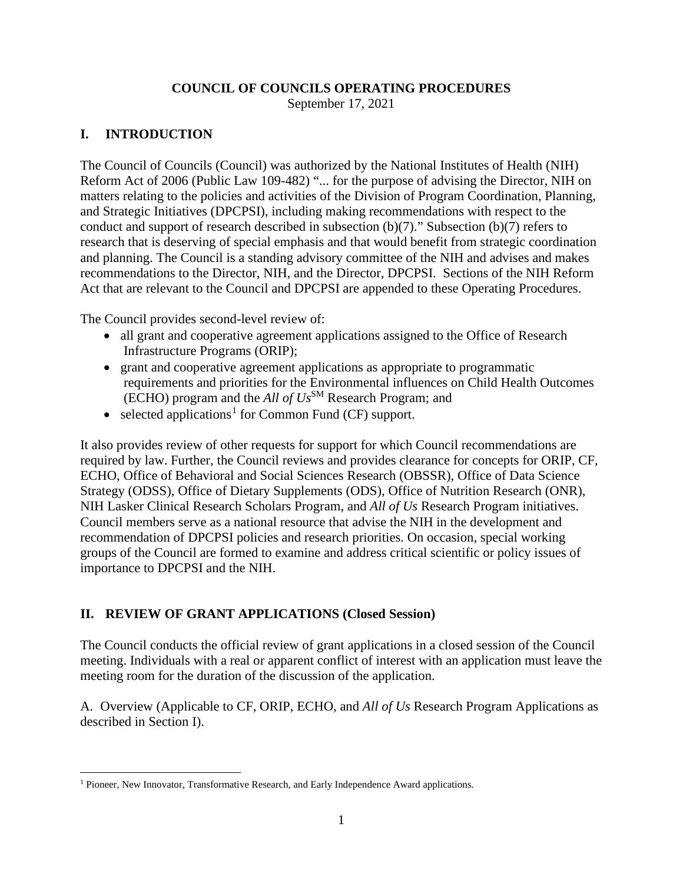### **COUNCIL OF COUNCILS OPERATING PROCEDURES**

September 17, 2021

## **I. INTRODUCTION**

 The Council of Councils (Council) was authorized by the National Institutes of Health (NIH) Reform Act of 2006 (Public Law 109-482) "... for the purpose of advising the Director, NIH on conduct and support of research described in subsection (b)(7)." Subsection (b)(7) refers to recommendations to the Director, NIH, and the Director, DPCPSI. Sections of the NIH Reform matters relating to the policies and activities of the Division of Program Coordination, Planning, and Strategic Initiatives (DPCPSI), including making recommendations with respect to the research that is deserving of special emphasis and that would benefit from strategic coordination and planning. The Council is a standing advisory committee of the NIH and advises and makes Act that are relevant to the Council and DPCPSI are appended to these Operating Procedures.

The Council provides second-level review of:

- • all grant and cooperative agreement applications assigned to the Office of Research Infrastructure Programs (ORIP);
- (ECHO) program and the *All of Us*SM Research Program; and • grant and cooperative agreement applications as appropriate to programmatic requirements and priorities for the Environmental influences on Child Health Outcomes
- selected applications<sup>[1](#page-0-0)</sup> for Common Fund (CF) support.

 ECHO, Office of Behavioral and Social Sciences Research (OBSSR), Office of Data Science NIH Lasker Clinical Research Scholars Program, and *All of Us* Research Program initiatives. groups of the Council are formed to examine and address critical scientific or policy issues of importance to DPCPSI and the NIH. It also provides review of other requests for support for which Council recommendations are required by law. Further, the Council reviews and provides clearance for concepts for ORIP, CF, Strategy (ODSS), Office of Dietary Supplements (ODS), Office of Nutrition Research (ONR), Council members serve as a national resource that advise the NIH in the development and recommendation of DPCPSI policies and research priorities. On occasion, special working

### **II. REVIEW OF GRANT APPLICATIONS (Closed Session)**

The Council conducts the official review of grant applications in a closed session of the Council meeting. Individuals with a real or apparent conflict of interest with an application must leave the meeting room for the duration of the discussion of the application.

 A. Overview (Applicable to CF, ORIP, ECHO, and *All of Us* Research Program Applications as described in Section I).

<span id="page-0-0"></span><sup>&</sup>lt;sup>1</sup> Pioneer, New Innovator, Transformative Research, and Early Independence Award applications.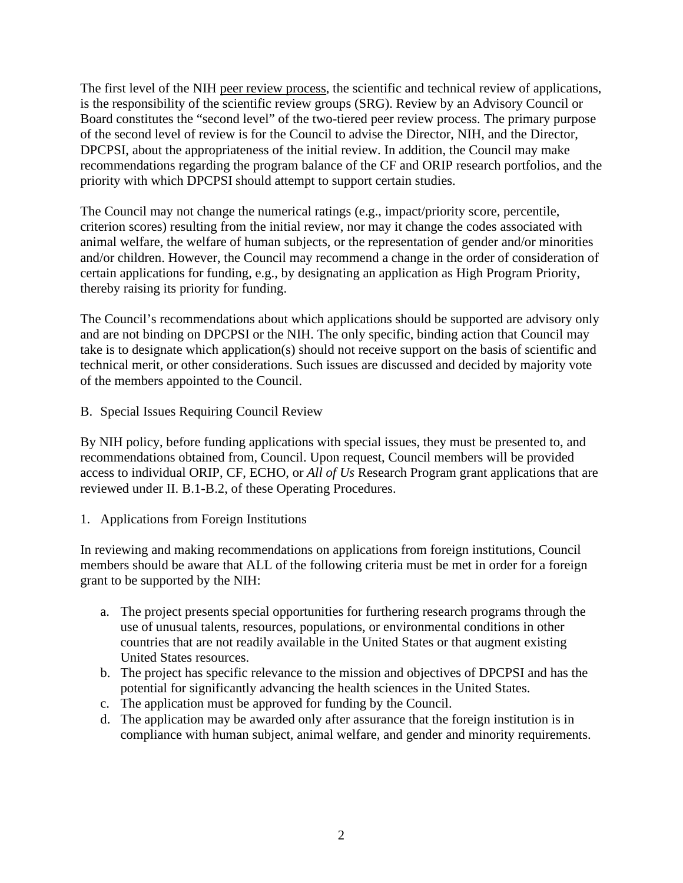Board constitutes the "second level" of the two-tiered peer review process. The primary purpose recommendations regarding the program balance of the CF and ORIP research portfolios, and the The first level of the NIH [peer review process,](http://grants.nih.gov/grants/peer_review_process.htm) the scientific and technical review of applications, is the responsibility of the scientific review groups (SRG). Review by an Advisory Council or of the second level of review is for the Council to advise the Director, NIH, and the Director, DPCPSI, about the appropriateness of the initial review. In addition, the Council may make priority with which DPCPSI should attempt to support certain studies.

 criterion scores) resulting from the initial review, nor may it change the codes associated with The Council may not change the numerical ratings (e.g., impact/priority score, percentile, animal welfare, the welfare of human subjects, or the representation of gender and/or minorities and/or children. However, the Council may recommend a change in the order of consideration of certain applications for funding, e.g., by designating an application as High Program Priority, thereby raising its priority for funding.

 take is to designate which application(s) should not receive support on the basis of scientific and of the members appointed to the Council. The Council's recommendations about which applications should be supported are advisory only and are not binding on DPCPSI or the NIH. The only specific, binding action that Council may technical merit, or other considerations. Such issues are discussed and decided by majority vote

B. Special Issues Requiring Council Review

 access to individual ORIP, CF, ECHO, or *All of Us* Research Program grant applications that are By NIH policy, before funding applications with special issues, they must be presented to, and recommendations obtained from, Council. Upon request, Council members will be provided reviewed under II. B.1-B.2, of these Operating Procedures.

1. Applications from Foreign Institutions

In reviewing and making recommendations on applications from foreign institutions, Council members should be aware that ALL of the following criteria must be met in order for a foreign grant to be supported by the NIH:

- a. The project presents special opportunities for furthering research programs through the use of unusual talents, resources, populations, or environmental conditions in other countries that are not readily available in the United States or that augment existing United States resources.
- b. The project has specific relevance to the mission and objectives of DPCPSI and has the potential for significantly advancing the health sciences in the United States.
- c. The application must be approved for funding by the Council.
- d. The application may be awarded only after assurance that the foreign institution is in compliance with human subject, animal welfare, and gender and minority requirements.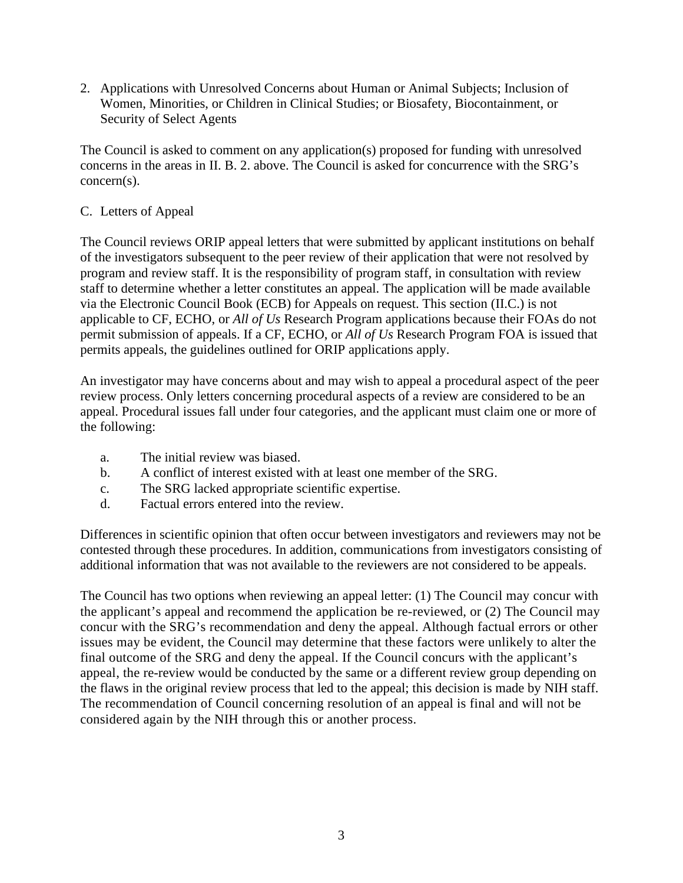2. Applications with Unresolved Concerns about Human or Animal Subjects; Inclusion of Women, Minorities, or Children in Clinical Studies; or Biosafety, Biocontainment, or Security of Select Agents

 The Council is asked to comment on any application(s) proposed for funding with unresolved concerns in the areas in II. B. 2. above. The Council is asked for concurrence with the SRG's concern(s).

## C. Letters of Appeal

 of the investigators subsequent to the peer review of their application that were not resolved by via the Electronic Council Book (ECB) for Appeals on request. This section (II.C.) is not applicable to CF, ECHO, or *All of Us* Research Program applications because their FOAs do not permit submission of appeals. If a CF, ECHO, or *All of Us* Research Program FOA is issued that The Council reviews ORIP appeal letters that were submitted by applicant institutions on behalf program and review staff. It is the responsibility of program staff, in consultation with review staff to determine whether a letter constitutes an appeal. The application will be made available permits appeals, the guidelines outlined for ORIP applications apply.

 review process. Only letters concerning procedural aspects of a review are considered to be an An investigator may have concerns about and may wish to appeal a procedural aspect of the peer appeal. Procedural issues fall under four categories, and the applicant must claim one or more of the following:

- a. The initial review was biased.
- b. A conflict of interest existed with at least one member of the SRG.
- c. The SRG lacked appropriate scientific expertise.
- d. Factual errors entered into the review.

 additional information that was not available to the reviewers are not considered to be appeals. Differences in scientific opinion that often occur between investigators and reviewers may not be contested through these procedures. In addition, communications from investigators consisting of

 concur with the SRG's recommendation and deny the appeal. Although factual errors or other The recommendation of Council concerning resolution of an appeal is final and will not be considered again by the NIH through this or another process. The Council has two options when reviewing an appeal letter: (1) The Council may concur with the applicant's appeal and recommend the application be re-reviewed, or (2) The Council may issues may be evident, the Council may determine that these factors were unlikely to alter the final outcome of the SRG and deny the appeal. If the Council concurs with the applicant's appeal, the re-review would be conducted by the same or a different review group depending on the flaws in the original review process that led to the appeal; this decision is made by NIH staff. considered again by the NIH through this or another process.<br>
3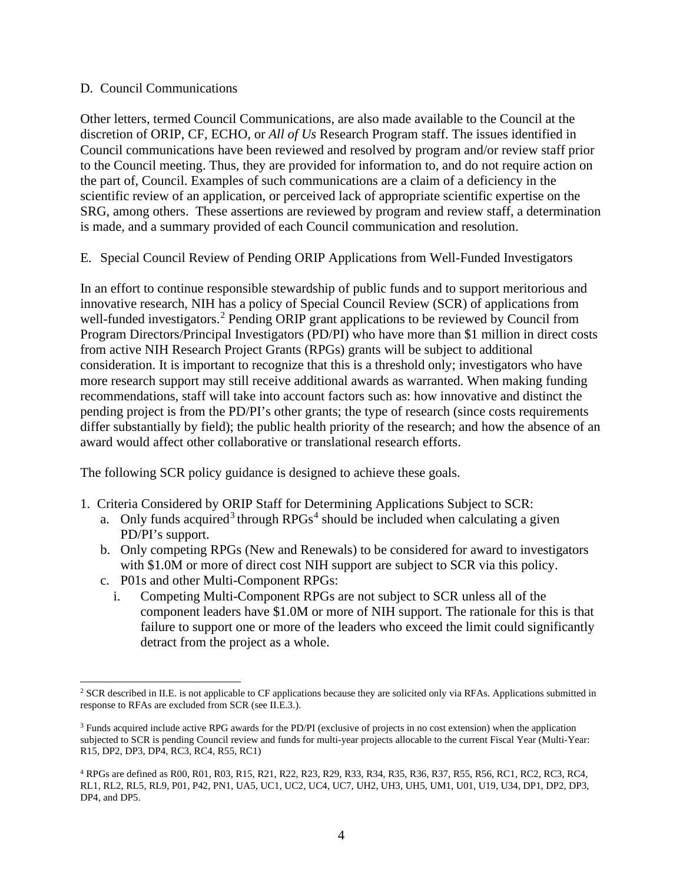#### D. Council Communications

 discretion of ORIP, CF, ECHO, or *All of Us* Research Program staff. The issues identified in SRG, among others. These assertions are reviewed by program and review staff, a determination Other letters, termed Council Communications, are also made available to the Council at the Council communications have been reviewed and resolved by program and/or review staff prior to the Council meeting. Thus, they are provided for information to, and do not require action on the part of, Council. Examples of such communications are a claim of a deficiency in the scientific review of an application, or perceived lack of appropriate scientific expertise on the is made, and a summary provided of each Council communication and resolution.

E. Special Council Review of Pending ORIP Applications from Well-Funded Investigators

 differ substantially by field); the public health priority of the research; and how the absence of an award would affect other collaborative or translational research efforts. In an effort to continue responsible stewardship of public funds and to support meritorious and innovative research, NIH has a policy of Special Council Review (SCR) of applications from well-funded investigators.<sup>2</sup> Pending ORIP grant applications to be reviewed by Council from Program Directors/Principal Investigators (PD/PI) who have more than \$1 million in direct costs from active NIH Research Project Grants (RPGs) grants will be subject to additional consideration. It is important to recognize that this is a threshold only; investigators who have more research support may still receive additional awards as warranted. When making funding recommendations, staff will take into account factors such as: how innovative and distinct the pending project is from the PD/PI's other grants; the type of research (since costs requirements

The following SCR policy guidance is designed to achieve these goals.

- 1. Criteria Considered by ORIP Staff for Determining Applications Subject to SCR:
	- a. Only funds acquired<sup>[3](#page-3-1)</sup> through RPGs<sup>4</sup> should be included when calculating a given PD/PI's support.
	- b. Only competing RPGs (New and Renewals) to be considered for award to investigators with \$1.0M or more of direct cost NIH support are subject to SCR via this policy.
	- c. P01s and other Multi-Component RPGs:
		- component leaders have \$1.0M or more of NIH support. The rationale for this is that i. Competing Multi-Component RPGs are not subject to SCR unless all of the failure to support one or more of the leaders who exceed the limit could significantly detract from the project as a whole.

<span id="page-3-0"></span><sup>&</sup>lt;sup>2</sup> SCR described in II.E. is not applicable to CF applications because they are solicited only via RFAs. Applications submitted in response to RFAs are excluded from SCR (see II.E.3.).

<span id="page-3-1"></span><sup>3</sup> Funds acquired include active RPG awards for the PD/PI (exclusive of projects in no cost extension) when the application subjected to SCR is pending Council review and funds for multi-year projects allocable to the current Fiscal Year (Multi-Year: R15, DP2, DP3, DP4, RC3, RC4, R55, RC1)

<span id="page-3-2"></span><sup>4</sup> RPGs are defined as R00, R01, R03, R15, R21, R22, R23, R29, R33, R34, R35, R36, R37, R55, R56, RC1, RC2, RC3, RC4, RL1, RL2, RL5, RL9, P01, P42, PN1, UA5, UC1, UC2, UC4, UC7, UH2, UH3, UH5, UM1, U01, U19, U34, DP1, DP2, DP3, DP4, and DP5.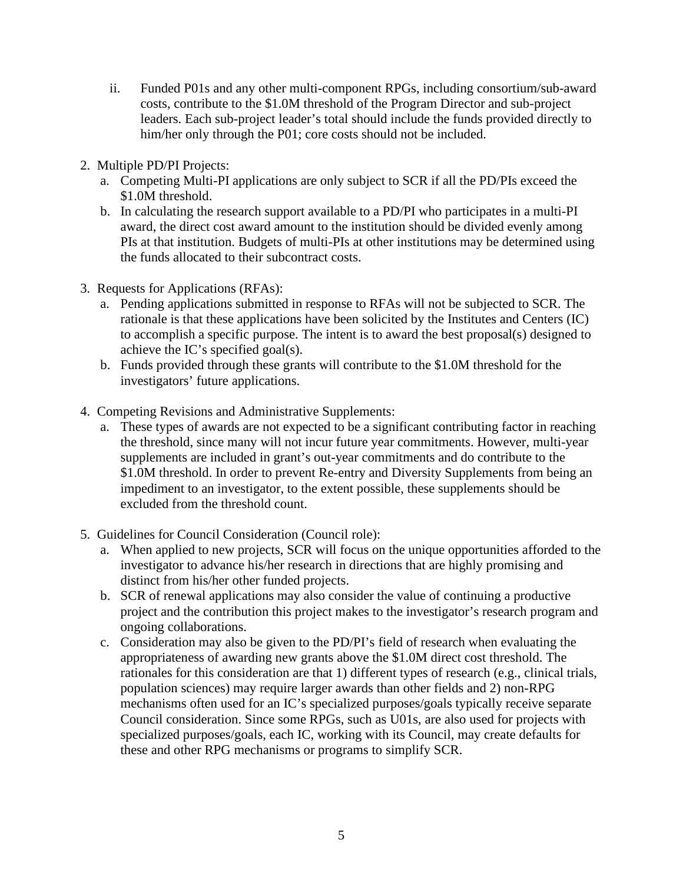- ii. Funded P01s and any other multi-component RPGs, including consortium/sub-award costs, contribute to the \$1.0M threshold of the Program Director and sub-project leaders. Each sub-project leader's total should include the funds provided directly to him/her only through the P01; core costs should not be included.
- 2. Multiple PD/PI Projects:
	- a. Competing Multi-PI applications are only subject to SCR if all the PD/PIs exceed the \$1.0M threshold.
	- b. In calculating the research support available to a PD/PI who participates in a multi-PI award, the direct cost award amount to the institution should be divided evenly among PIs at that institution. Budgets of multi-PIs at other institutions may be determined using the funds allocated to their subcontract costs.
- 3. Requests for Applications (RFAs):
	- a. Pending applications submitted in response to RFAs will not be subjected to SCR. The rationale is that these applications have been solicited by the Institutes and Centers (IC) to accomplish a specific purpose. The intent is to award the best proposal(s) designed to achieve the IC's specified goal(s).
	- b. Funds provided through these grants will contribute to the \$1.0M threshold for the investigators' future applications.
- 4. Competing Revisions and Administrative Supplements:
	- a. These types of awards are not expected to be a significant contributing factor in reaching impediment to an investigator, to the extent possible, these supplements should be the threshold, since many will not incur future year commitments. However, multi-year supplements are included in grant's out-year commitments and do contribute to the \$1.0M threshold. In order to prevent Re-entry and Diversity Supplements from being an excluded from the threshold count.
- 5. Guidelines for Council Consideration (Council role):
	- a. When applied to new projects, SCR will focus on the unique opportunities afforded to the investigator to advance his/her research in directions that are highly promising and distinct from his/her other funded projects.
	- b. SCR of renewal applications may also consider the value of continuing a productive project and the contribution this project makes to the investigator's research program and ongoing collaborations.
	- Council consideration. Since some RPGs, such as U01s, are also used for projects with these and other RPG mechanisms or programs to simplify SCR.<br>
	5 c. Consideration may also be given to the PD/PI's field of research when evaluating the appropriateness of awarding new grants above the \$1.0M direct cost threshold. The rationales for this consideration are that 1) different types of research (e.g., clinical trials, population sciences) may require larger awards than other fields and 2) non-RPG mechanisms often used for an IC's specialized purposes/goals typically receive separate specialized purposes/goals, each IC, working with its Council, may create defaults for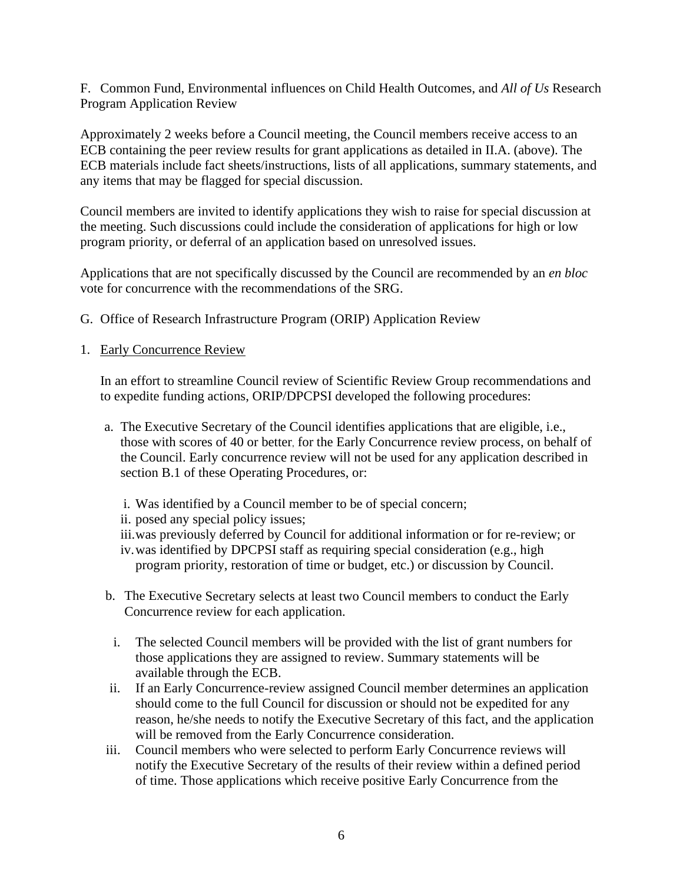F. Common Fund, Environmental influences on Child Health Outcomes, and *All of Us* Research Program Application Review

Approximately 2 weeks before a Council meeting, the Council members receive access to an ECB containing the peer review results for grant applications as detailed in II.A. (above). The ECB materials include fact sheets/instructions, lists of all applications, summary statements, and any items that may be flagged for special discussion.

Council members are invited to identify applications they wish to raise for special discussion at the meeting. Such discussions could include the consideration of applications for high or low program priority, or deferral of an application based on unresolved issues.

Applications that are not specifically discussed by the Council are recommended by an *en bloc*  vote for concurrence with the recommendations of the SRG.

- G. Office of Research Infrastructure Program (ORIP) Application Review
- 1. Early Concurrence Review

In an effort to streamline Council review of Scientific Review Group recommendations and to expedite funding actions, ORIP/DPCPSI developed the following procedures:

- a. The Executive Secretary of the Council identifies applications that are eligible, i.e., those with scores of 40 or better, for the Early Concurrence review process, on behalf of the Council. Early concurrence review will not be used for any application described in section B.1 of these Operating Procedures, or:
	- i. Was identified by a Council member to be of special concern;
	- ii. posed any special policy issues;
	- iii.was previously deferred by Council for additional information or for re-review; or
	- iv. was identified by DPCPSI staff as requiring special consideration (e.g., high program priority, restoration of time or budget, etc.) or discussion by Council.
- b. The Executive Secretary selects at least two Council members to conduct the Early Concurrence review for each application.
- i. The selected Council members will be provided with the list of grant numbers for those applications they are assigned to review. Summary statements will be available through the ECB.
- ii. If an Early Concurrence-review assigned Council member determines an application should come to the full Council for discussion or should not be expedited for any reason, he/she needs to notify the Executive Secretary of this fact, and the application will be removed from the Early Concurrence consideration.
- iii. Council members who were selected to perform Early Concurrence reviews will notify the Executive Secretary of the results of their review within a defined period of time. Those applications which receive positive Early Concurrence from the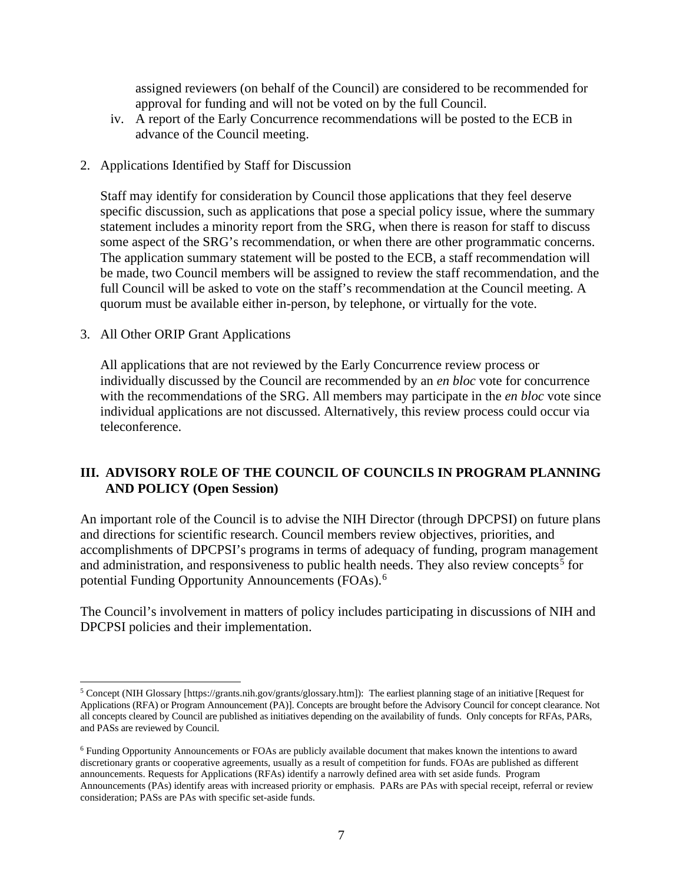assigned reviewers (on behalf of the Council) are considered to be recommended for approval for funding and will not be voted on by the full Council.

- iv. A report of the Early Concurrence recommendations will be posted to the ECB in advance of the Council meeting.
- 2. Applications Identified by Staff for Discussion

 full Council will be asked to vote on the staff's recommendation at the Council meeting. A quorum must be available either in-person, by telephone, or virtually for the vote. Staff may identify for consideration by Council those applications that they feel deserve specific discussion, such as applications that pose a special policy issue, where the summary statement includes a minority report from the SRG, when there is reason for staff to discuss some aspect of the SRG's recommendation, or when there are other programmatic concerns. The application summary statement will be posted to the ECB, a staff recommendation will be made, two Council members will be assigned to review the staff recommendation, and the

3. All Other ORIP Grant Applications

 with the recommendations of the SRG. All members may participate in the *en bloc* vote since All applications that are not reviewed by the Early Concurrence review process or individually discussed by the Council are recommended by an *en bloc* vote for concurrence individual applications are not discussed. Alternatively, this review process could occur via teleconference.

## **III. ADVISORY ROLE OF THE COUNCIL OF COUNCILS IN PROGRAM PLANNING AND POLICY (Open Session)**

 An important role of the Council is to advise the NIH Director (through DPCPSI) on future plans accomplishments of DPCPSI's programs in terms of adequacy of funding, program management potential Funding Opportunity Announcements (FOAs).<sup>6</sup> and directions for scientific research. Council members review objectives, priorities, and and administration, and responsiveness to public health needs. They also review concepts<sup>[5](#page-6-0)</sup> for

The Council's involvement in matters of policy includes participating in discussions of NIH and DPCPSI policies and their implementation.

<span id="page-6-0"></span> 5 Concept (NIH Glossary [[https://grants.nih.gov/grants/glossary.htm\]](https://grants.nih.gov/grants/glossary.htm)): The earliest planning stage of an initiative [Request for all concepts cleared by Council are published as initiatives depending on the availability of funds. Only concepts for RFAs, PARs, Applications (RFA) or Program Announcement (PA)]. Concepts are brought before the Advisory Council for concept clearance. Not and PASs are reviewed by Council.

<span id="page-6-1"></span> announcements. Requests for Applications (RFAs) identify a narrowly defined area with set aside funds. Program consideration; PASs are PAs with specific set-aside funds.<br>
7 6 Funding Opportunity Announcements or FOAs are publicly available document that makes known the intentions to award discretionary grants or cooperative agreements, usually as a result of competition for funds. FOAs are published as different Announcements (PAs) identify areas with increased priority or emphasis. PARs are PAs with special receipt, referral or review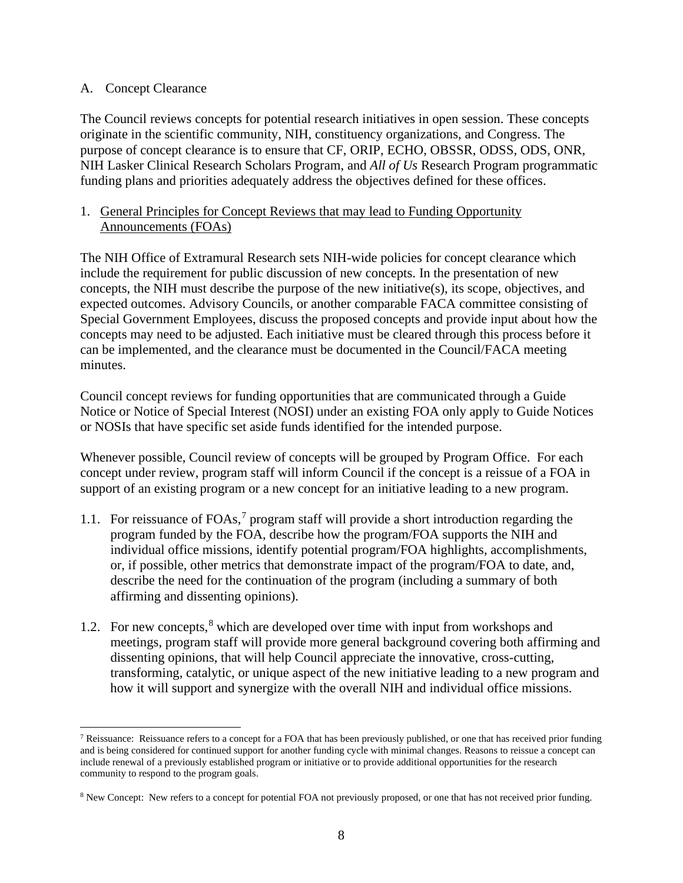#### A. Concept Clearance

 The Council reviews concepts for potential research initiatives in open session. These concepts funding plans and priorities adequately address the objectives defined for these offices. originate in the scientific community, NIH, constituency organizations, and Congress. The purpose of concept clearance is to ensure that CF, ORIP, ECHO, OBSSR, ODSS, ODS, ONR, NIH Lasker Clinical Research Scholars Program, and *All of Us* Research Program programmatic

#### 1. General Principles for Concept Reviews that may lead to Funding Opportunity Announcements (FOAs)

 expected outcomes. Advisory Councils, or another comparable FACA committee consisting of concepts may need to be adjusted. Each initiative must be cleared through this process before it The NIH Office of Extramural Research sets NIH-wide policies for concept clearance which include the requirement for public discussion of new concepts. In the presentation of new concepts, the NIH must describe the purpose of the new initiative(s), its scope, objectives, and Special Government Employees, discuss the proposed concepts and provide input about how the can be implemented, and the clearance must be documented in the Council/FACA meeting minutes.

Council concept reviews for funding opportunities that are communicated through a Guide Notice or Notice of Special Interest (NOSI) under an existing FOA only apply to Guide Notices or NOSIs that have specific set aside funds identified for the intended purpose.

 concept under review, program staff will inform Council if the concept is a reissue of a FOA in support of an existing program or a new concept for an initiative leading to a new program. Whenever possible, Council review of concepts will be grouped by Program Office. For each

- 1.1. For reissuance of FOAs, [7](#page-7-0) program staff will provide a short introduction regarding the program funded by the FOA, describe how the program/FOA supports the NIH and individual office missions, identify potential program/FOA highlights, accomplishments, describe the need for the continuation of the program (including a summary of both or, if possible, other metrics that demonstrate impact of the program/FOA to date, and, affirming and dissenting opinions).
- dissenting opinions, that will help Council appreciate the innovative, cross-cutting, transforming, catalytic, or unique aspect of the new initiative leading to a new program and 1.2. For new concepts,  $8 \text{ which are developed over time with input from workshons and}$  $8 \text{ which are developed over time with input from workshons and}$ meetings, program staff will provide more general background covering both affirming and how it will support and synergize with the overall NIH and individual office missions.

<span id="page-7-0"></span> 7 Reissuance: Reissuance refers to a concept for a FOA that has been previously published, or one that has received prior funding and is being considered for continued support for another funding cycle with minimal changes. Reasons to reissue a concept can include renewal of a previously established program or initiative or to provide additional opportunities for the research community to respond to the program goals.

<span id="page-7-1"></span><sup>&</sup>lt;sup>8</sup> New Concept: New refers to a concept for potential FOA not previously proposed, or one that has not received prior funding.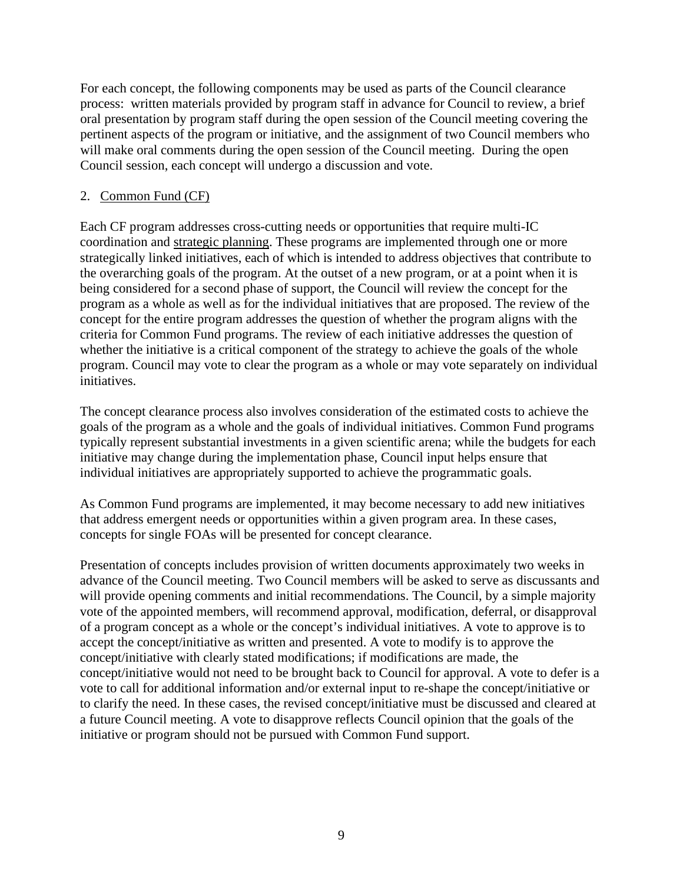For each concept, the following components may be used as parts of the Council clearance process: written materials provided by program staff in advance for Council to review, a brief oral presentation by program staff during the open session of the Council meeting covering the pertinent aspects of the program or initiative, and the assignment of two Council members who will make oral comments during the open session of the Council meeting. During the open Council session, each concept will undergo a discussion and vote.

#### 2. Common Fund (CF)

 the overarching goals of the program. At the outset of a new program, or at a point when it is criteria for Common Fund programs. The review of each initiative addresses the question of Each CF program addresses cross-cutting needs or opportunities that require multi-IC coordination and [strategic planning.](http://commonfund.nih.gov/planningactivities/overview-planning.aspx) These programs are implemented through one or more strategically linked initiatives, each of which is intended to address objectives that contribute to being considered for a second phase of support, the Council will review the concept for the program as a whole as well as for the individual initiatives that are proposed. The review of the concept for the entire program addresses the question of whether the program aligns with the whether the initiative is a critical component of the strategy to achieve the goals of the whole program. Council may vote to clear the program as a whole or may vote separately on individual initiatives.

The concept clearance process also involves consideration of the estimated costs to achieve the goals of the program as a whole and the goals of individual initiatives. Common Fund programs typically represent substantial investments in a given scientific arena; while the budgets for each initiative may change during the implementation phase, Council input helps ensure that individual initiatives are appropriately supported to achieve the programmatic goals.

As Common Fund programs are implemented, it may become necessary to add new initiatives that address emergent needs or opportunities within a given program area. In these cases, concepts for single FOAs will be presented for concept clearance.

 of a program concept as a whole or the concept's individual initiatives. A vote to approve is to Presentation of concepts includes provision of written documents approximately two weeks in advance of the Council meeting. Two Council members will be asked to serve as discussants and will provide opening comments and initial recommendations. The Council, by a simple majority vote of the appointed members, will recommend approval, modification, deferral, or disapproval accept the concept/initiative as written and presented. A vote to modify is to approve the concept/initiative with clearly stated modifications; if modifications are made, the concept/initiative would not need to be brought back to Council for approval. A vote to defer is a vote to call for additional information and/or external input to re-shape the concept/initiative or to clarify the need. In these cases, the revised concept/initiative must be discussed and cleared at a future Council meeting. A vote to disapprove reflects Council opinion that the goals of the initiative or program should not be pursued with Common Fund support.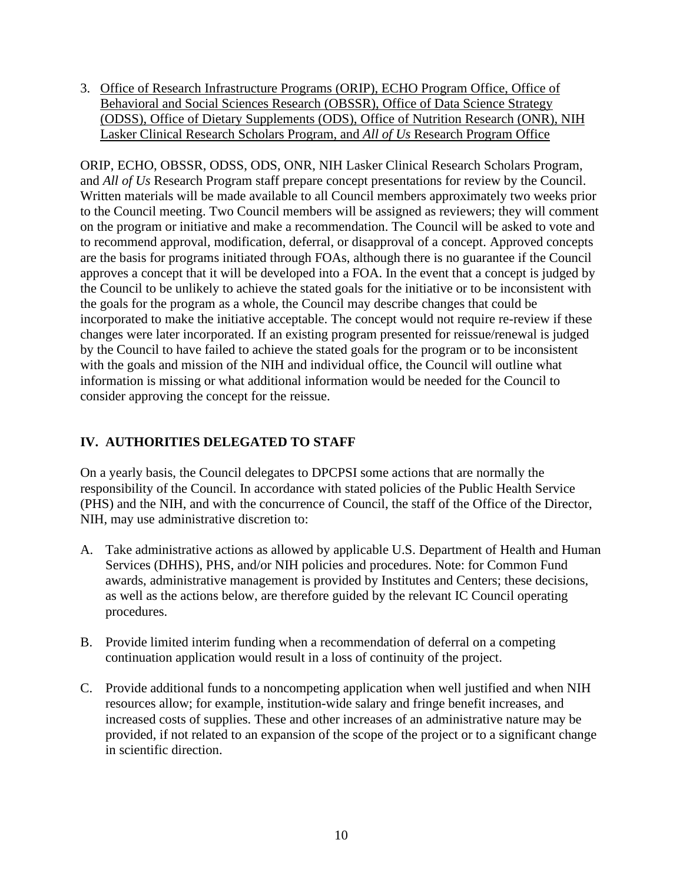3. Office of Research Infrastructure Programs (ORIP), ECHO Program Office, Office of Behavioral and Social Sciences Research (OBSSR), Office of Data Science Strategy (ODSS), Office of Dietary Supplements (ODS), Office of Nutrition Research (ONR), NIH Lasker Clinical Research Scholars Program, and *All of Us* Research Program Office

 and *All of Us* Research Program staff prepare concept presentations for review by the Council. on the program or initiative and make a recommendation. The Council will be asked to vote and approves a concept that it will be developed into a FOA. In the event that a concept is judged by the goals for the program as a whole, the Council may describe changes that could be incorporated to make the initiative acceptable. The concept would not require re-review if these with the goals and mission of the NIH and individual office, the Council will outline what consider approving the concept for the reissue. ORIP, ECHO, OBSSR, ODSS, ODS, ONR, NIH Lasker Clinical Research Scholars Program, Written materials will be made available to all Council members approximately two weeks prior to the Council meeting. Two Council members will be assigned as reviewers; they will comment to recommend approval, modification, deferral, or disapproval of a concept. Approved concepts are the basis for programs initiated through FOAs, although there is no guarantee if the Council the Council to be unlikely to achieve the stated goals for the initiative or to be inconsistent with changes were later incorporated. If an existing program presented for reissue/renewal is judged by the Council to have failed to achieve the stated goals for the program or to be inconsistent information is missing or what additional information would be needed for the Council to

# **IV. AUTHORITIES DELEGATED TO STAFF**

On a yearly basis, the Council delegates to DPCPSI some actions that are normally the responsibility of the Council. In accordance with stated policies of the Public Health Service (PHS) and the NIH, and with the concurrence of Council, the staff of the Office of the Director, NIH, may use administrative discretion to:

- A. Take administrative actions as allowed by applicable U.S. Department of Health and Human Services (DHHS), PHS, and/or NIH policies and procedures. Note: for Common Fund awards, administrative management is provided by Institutes and Centers; these decisions, as well as the actions below, are therefore guided by the relevant IC Council operating procedures.
- B. Provide limited interim funding when a recommendation of deferral on a competing continuation application would result in a loss of continuity of the project.
- resources allow; for example, institution-wide salary and fringe benefit increases, and in scientific direction. C. Provide additional funds to a noncompeting application when well justified and when NIH increased costs of supplies. These and other increases of an administrative nature may be provided, if not related to an expansion of the scope of the project or to a significant change in scientific direction.<br>
10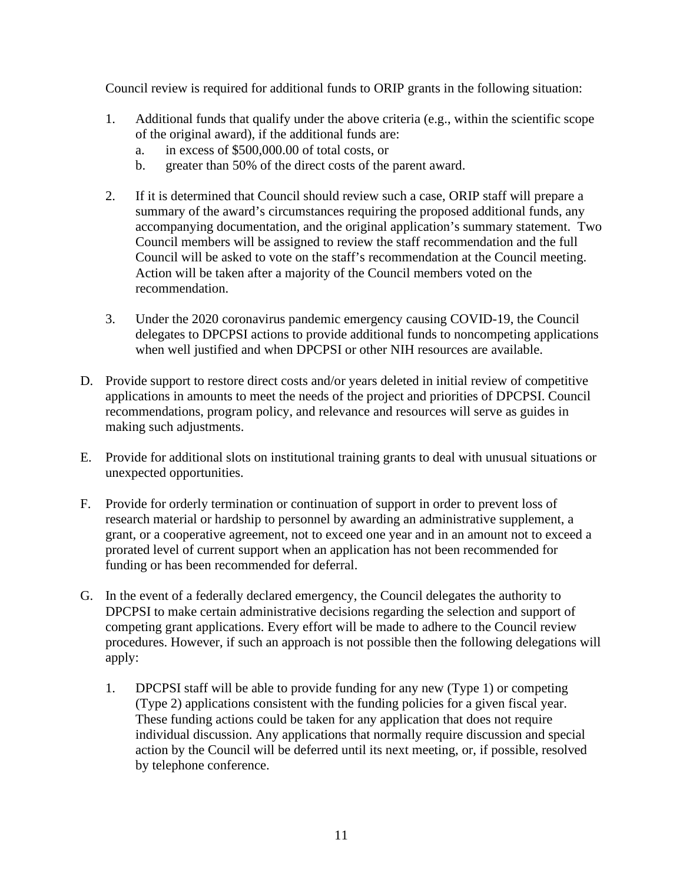Council review is required for additional funds to ORIP grants in the following situation:

- of the original award), if the additional funds are: 1. Additional funds that qualify under the above criteria (e.g., within the scientific scope
	- a. in excess of \$500,000.00 of total costs, or
	- b. greater than 50% of the direct costs of the parent award.
- 2. If it is determined that Council should review such a case, ORIP staff will prepare a accompanying documentation, and the original application's summary statement. Two summary of the award's circumstances requiring the proposed additional funds, any Council members will be assigned to review the staff recommendation and the full Council will be asked to vote on the staff's recommendation at the Council meeting. Action will be taken after a majority of the Council members voted on the recommendation.
- 3. Under the 2020 coronavirus pandemic emergency causing COVID-19, the Council when well justified and when DPCPSI or other NIH resources are available. delegates to DPCPSI actions to provide additional funds to noncompeting applications
- applications in amounts to meet the needs of the project and priorities of DPCPSI. Council D. Provide support to restore direct costs and/or years deleted in initial review of competitive recommendations, program policy, and relevance and resources will serve as guides in making such adjustments.
- E. Provide for additional slots on institutional training grants to deal with unusual situations or unexpected opportunities.
- F. Provide for orderly termination or continuation of support in order to prevent loss of research material or hardship to personnel by awarding an administrative supplement, a grant, or a cooperative agreement, not to exceed one year and in an amount not to exceed a prorated level of current support when an application has not been recommended for funding or has been recommended for deferral.
- G. In the event of a federally declared emergency, the Council delegates the authority to DPCPSI to make certain administrative decisions regarding the selection and support of competing grant applications. Every effort will be made to adhere to the Council review procedures. However, if such an approach is not possible then the following delegations will apply:
	- 1. DPCPSI staff will be able to provide funding for any new (Type 1) or competing (Type 2) applications consistent with the funding policies for a given fiscal year. These funding actions could be taken for any application that does not require individual discussion. Any applications that normally require discussion and special action by the Council will be deferred until its next meeting, or, if possible, resolved by telephone conference.